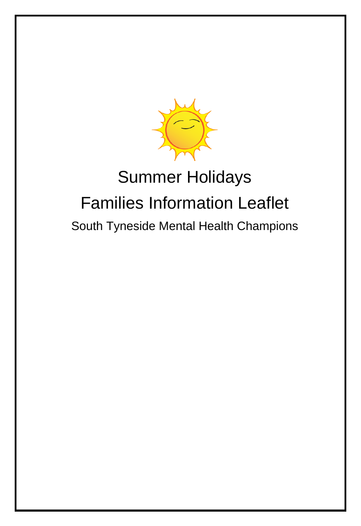

# Summer Holidays Families Information Leaflet South Tyneside Mental Health Champions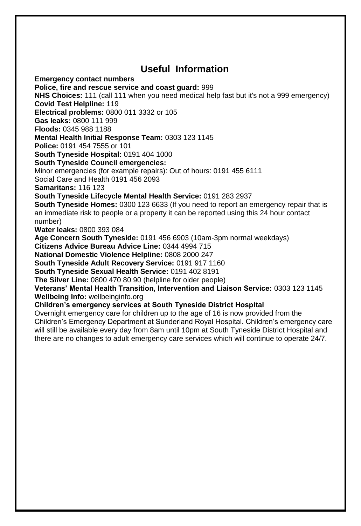## **Useful Information**

**Emergency contact numbers Police, fire and rescue service and coast guard:** 999 **NHS Choices:** 111 (call 111 when you need medical help fast but it's not a 999 emergency) **Covid Test Helpline:** 119 **Electrical problems:** 0800 011 3332 or 105 **Gas leaks:** 0800 111 999 **Floods:** 0345 988 1188 **Mental Health Initial Response Team:** 0303 123 1145 **Police:** 0191 454 7555 or 101 **South Tyneside Hospital:** 0191 404 1000 **South Tyneside Council emergencies:**  Minor emergencies (for example repairs): Out of hours: 0191 455 6111 Social Care and Health 0191 456 2093 **Samaritans:** 116 123 **South Tyneside Lifecycle Mental Health Service:** 0191 283 2937 **South Tyneside Homes:** 0300 123 6633 (If you need to report an emergency repair that is an immediate risk to people or a property it can be reported using this 24 hour contact number) **Water leaks:** 0800 393 084 **Age Concern South Tyneside:** 0191 456 6903 (10am-3pm normal weekdays) **Citizens Advice Bureau Advice Line:** 0344 4994 715 **National Domestic Violence Helpline:** 0808 2000 247 **South Tyneside Adult Recovery Service:** 0191 917 1160 **South Tyneside Sexual Health Service:** 0191 402 8191 **The Silver Line:** 0800 470 80 90 (helpline for older people) **Veterans' Mental Health Transition, Intervention and Liaison Service:** 0303 123 1145 **Wellbeing Info:** wellbeinginfo.org **Children's emergency services at South Tyneside District Hospital**  Overnight emergency care for children up to the age of 16 is now provided from the

Children's Emergency Department at Sunderland Royal Hospital. Children's emergency care will still be available every day from 8am until 10pm at South Tyneside District Hospital and there are no changes to adult emergency care services which will continue to operate 24/7.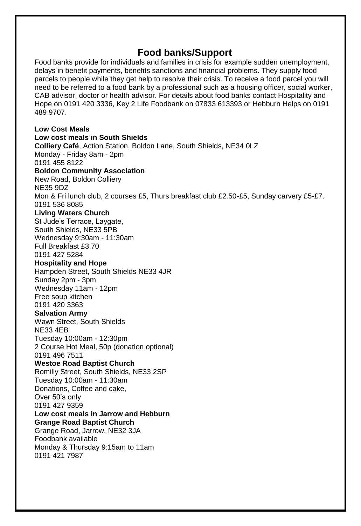### **Food banks/Support**

Food banks provide for individuals and families in crisis for example sudden unemployment, delays in benefit payments, benefits sanctions and financial problems. They supply food parcels to people while they get help to resolve their crisis. To receive a food parcel you will need to be referred to a food bank by a professional such as a housing officer, social worker, CAB advisor, doctor or health advisor. For details about food banks contact Hospitality and Hope on 0191 420 3336, Key 2 Life Foodbank on 07833 613393 or Hebburn Helps on 0191 489 9707.

**Low Cost Meals Low cost meals in South Shields Colliery Café**, Action Station, Boldon Lane, South Shields, NE34 0LZ Monday - Friday 8am - 2pm 0191 455 8122 **Boldon Community Association**  New Road, Boldon Colliery NE35 9DZ Mon & Fri lunch club, 2 courses £5, Thurs breakfast club £2.50-£5, Sunday carvery £5-£7. 0191 536 8085 **Living Waters Church**  St Jude's Terrace, Laygate, South Shields, NE33 5PB Wednesday 9:30am - 11:30am Full Breakfast £3.70 0191 427 5284 **Hospitality and Hope**  Hampden Street, South Shields NE33 4JR Sunday 2pm - 3pm Wednesday 11am - 12pm Free soup kitchen 0191 420 3363 **Salvation Army**  Wawn Street, South Shields NE33 4EB Tuesday 10:00am - 12:30pm 2 Course Hot Meal, 50p (donation optional) 0191 496 7511 **Westoe Road Baptist Church**  Romilly Street, South Shields, NE33 2SP Tuesday 10:00am - 11:30am Donations, Coffee and cake, Over 50's only 0191 427 9359 **Low cost meals in Jarrow and Hebburn Grange Road Baptist Church**  Grange Road, Jarrow, NE32 3JA Foodbank available Monday & Thursday 9:15am to 11am 0191 421 7987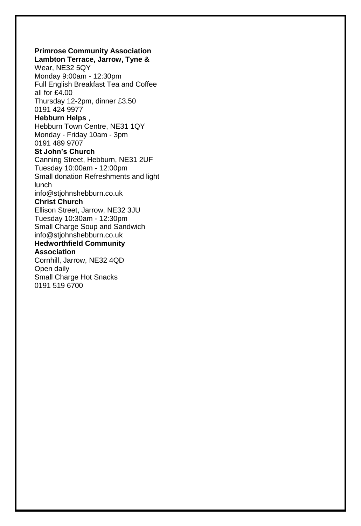### **Primrose Community Association**

**Lambton Terrace, Jarrow, Tyne &** Wear, NE32 5QY Monday 9:00am - 12:30pm Full English Breakfast Tea and Coffee all for £4.00 Thursday 12-2pm, dinner £3.50 0191 424 9977

### **Hebburn Helps** ,

Hebburn Town Centre, NE31 1QY Monday - Friday 10am - 3pm 0191 489 9707

#### **St John's Church**

Canning Street, Hebburn, NE31 2UF Tuesday 10:00am - 12:00pm Small donation Refreshments and light lunch info@stjohnshebburn.co.uk

### **Christ Church**

Ellison Street, Jarrow, NE32 3JU Tuesday 10:30am - 12:30pm Small Charge Soup and Sandwich info@stjohnshebburn.co.uk

#### **Hedworthfield Community Association**

Cornhill, Jarrow, NE32 4QD Open daily Small Charge Hot Snacks 0191 519 6700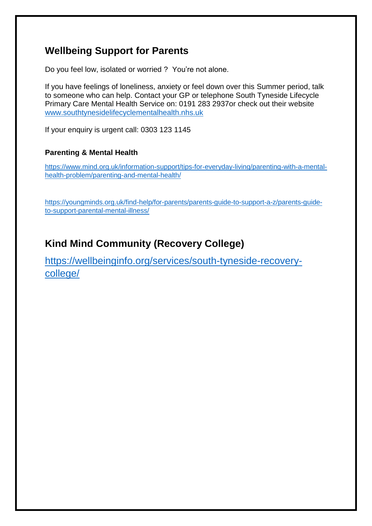### **Wellbeing Support for Parents**

Do you feel low, isolated or worried ? You're not alone.

If you have feelings of loneliness, anxiety or feel down over this Summer period, talk to someone who can help. Contact your GP or telephone South Tyneside Lifecycle Primary Care Mental Health Service on: 0191 283 2937or check out their website [www.southtynesidelifecyclementalhealth.nhs.uk](http://www.southtynesidelifecyclementalhealth.nhs.uk/)

If your enquiry is urgent call: 0303 123 1145

### **Parenting & Mental Health**

[https://www.mind.org.uk/information-support/tips-for-everyday-living/parenting-with-a-mental](https://www.mind.org.uk/information-support/tips-for-everyday-living/parenting-with-a-mental-health-problem/parenting-and-mental-health/)[health-problem/parenting-and-mental-health/](https://www.mind.org.uk/information-support/tips-for-everyday-living/parenting-with-a-mental-health-problem/parenting-and-mental-health/)

[https://youngminds.org.uk/find-help/for-parents/parents-guide-to-support-a-z/parents-guide](https://youngminds.org.uk/find-help/for-parents/parents-guide-to-support-a-z/parents-guide-to-support-parental-mental-illness/)[to-support-parental-mental-illness/](https://youngminds.org.uk/find-help/for-parents/parents-guide-to-support-a-z/parents-guide-to-support-parental-mental-illness/)

### **Kind Mind Community (Recovery College)**

[https://wellbeinginfo.org/services/south-tyneside-recovery](https://wellbeinginfo.org/services/south-tyneside-recovery-college/)[college/](https://wellbeinginfo.org/services/south-tyneside-recovery-college/)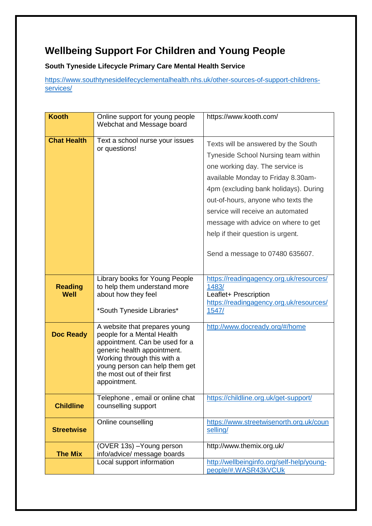### **Wellbeing Support For Children and Young People**

**South Tyneside Lifecycle Primary Care Mental Health Service** 

[https://www.southtynesidelifecyclementalhealth.nhs.uk/other-sources-of-support-childrens](https://www.southtynesidelifecyclementalhealth.nhs.uk/other-sources-of-support-childrens-services/)[services/](https://www.southtynesidelifecyclementalhealth.nhs.uk/other-sources-of-support-childrens-services/)

| <b>Kooth</b>           | Online support for young people<br>Webchat and Message board                                                                                                                                                                                 | https://www.kooth.com/                                                                                                                                                                                                                                                                                                                                                                 |
|------------------------|----------------------------------------------------------------------------------------------------------------------------------------------------------------------------------------------------------------------------------------------|----------------------------------------------------------------------------------------------------------------------------------------------------------------------------------------------------------------------------------------------------------------------------------------------------------------------------------------------------------------------------------------|
| <b>Chat Health</b>     | Text a school nurse your issues<br>or questions!                                                                                                                                                                                             | Texts will be answered by the South<br>Tyneside School Nursing team within<br>one working day. The service is<br>available Monday to Friday 8.30am-<br>4pm (excluding bank holidays). During<br>out-of-hours, anyone who texts the<br>service will receive an automated<br>message with advice on where to get<br>help if their question is urgent.<br>Send a message to 07480 635607. |
| <b>Reading</b><br>Well | Library books for Young People<br>to help them understand more<br>about how they feel<br>*South Tyneside Libraries*                                                                                                                          | https://readingagency.org.uk/resources/<br>1483/<br>Leaflet+ Prescription<br>https://readingagency.org.uk/resources/<br>1547/                                                                                                                                                                                                                                                          |
| <b>Doc Ready</b>       | A website that prepares young<br>people for a Mental Health<br>appointment. Can be used for a<br>generic health appointment.<br>Working through this with a<br>young person can help them get<br>the most out of their first<br>appointment. | http://www.docready.org/#/home                                                                                                                                                                                                                                                                                                                                                         |
| <b>Childline</b>       | Telephone, email or online chat<br>counselling support                                                                                                                                                                                       | https://childline.org.uk/get-support/                                                                                                                                                                                                                                                                                                                                                  |
| <b>Streetwise</b>      | Online counselling                                                                                                                                                                                                                           | https://www.streetwisenorth.org.uk/coun<br>selling/                                                                                                                                                                                                                                                                                                                                    |
| <b>The Mix</b>         | (OVER 13s) - Young person<br>info/advice/ message boards<br>Local support information                                                                                                                                                        | http://www.themix.org.uk/<br>http://wellbeinginfo.org/self-help/young-                                                                                                                                                                                                                                                                                                                 |
|                        |                                                                                                                                                                                                                                              | people/#.WASR43kVCUk                                                                                                                                                                                                                                                                                                                                                                   |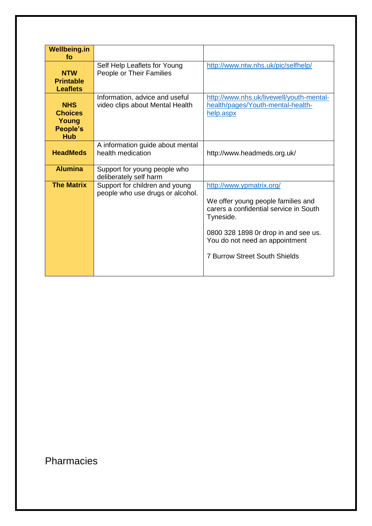| <b>Wellbeing.in</b><br>fo                                       |                                                                    |                                                                                                                                                                                                                                         |
|-----------------------------------------------------------------|--------------------------------------------------------------------|-----------------------------------------------------------------------------------------------------------------------------------------------------------------------------------------------------------------------------------------|
| <b>NTW</b><br><b>Printable</b><br><b>Leaflets</b>               | Self Help Leaflets for Young<br>People or Their Families           | http://www.ntw.nhs.uk/pic/selfhelp/                                                                                                                                                                                                     |
| <b>NHS</b><br><b>Choices</b><br>Young<br>People's<br><b>Hub</b> | Information, advice and useful<br>video clips about Mental Health  | http://www.nhs.uk/livewell/youth-mental-<br>health/pages/Youth-mental-health-<br>help.aspx                                                                                                                                              |
| <b>HeadMeds</b>                                                 | A information guide about mental<br>health medication              | http://www.headmeds.org.uk/                                                                                                                                                                                                             |
| <b>Alumina</b>                                                  | Support for young people who<br>deliberately self harm             |                                                                                                                                                                                                                                         |
| <b>The Matrix</b>                                               | Support for children and young<br>people who use drugs or alcohol. | http://www.ypmatrix.org/<br>We offer young people families and<br>carers a confidential service in South<br>Tyneside.<br>0800 328 1898 Or drop in and see us.<br>You do not need an appointment<br><b>7 Burrow Street South Shields</b> |

# Pharmacies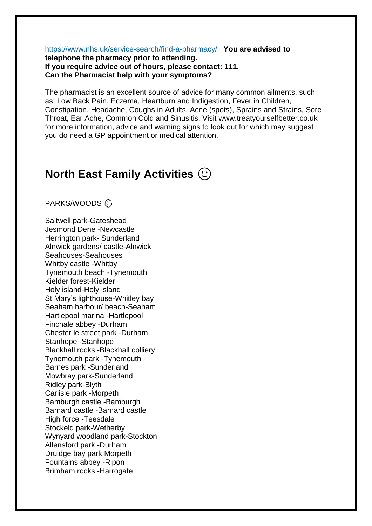<https://www.nhs.uk/service-search/find-a-pharmacy/>**You are advised to** 

**telephone the pharmacy prior to attending. If you require advice out of hours, please contact: 111. Can the Pharmacist help with your symptoms?** 

The pharmacist is an excellent source of advice for many common ailments, such as: Low Back Pain, Eczema, Heartburn and Indigestion, Fever in Children, Constipation, Headache, Coughs in Adults, Acne (spots), Sprains and Strains, Sore Throat, Ear Ache, Common Cold and Sinusitis. Visit www.treatyourselfbetter.co.uk for more information, advice and warning signs to look out for which may suggest you do need a GP appointment or medical attention.

# **North East Family Activities**

PARKS/WOODS <sup>@</sup>

Saltwell park-Gateshead Jesmond Dene -Newcastle Herrington park- Sunderland Alnwick gardens/ castle-Alnwick Seahouses-Seahouses Whitby castle -Whitby Tynemouth beach -Tynemouth Kielder forest-Kielder Holy island-Holy island St Mary's lighthouse-Whitley bay Seaham harbour/ beach-Seaham Hartlepool marina -Hartlepool Finchale abbey -Durham Chester le street park -Durham Stanhope -Stanhope Blackhall rocks -Blackhall colliery Tynemouth park -Tynemouth Barnes park -Sunderland Mowbray park-Sunderland Ridley park-Blyth Carlisle park -Morpeth Bamburgh castle -Bamburgh Barnard castle -Barnard castle High force -Teesdale Stockeld park-Wetherby Wynyard woodland park-Stockton Allensford park -Durham Druidge bay park Morpeth Fountains abbey -Ripon Brimham rocks -Harrogate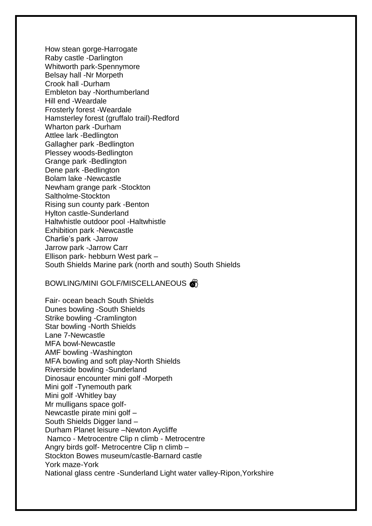How stean gorge-Harrogate Raby castle -Darlington Whitworth park-Spennymore Belsay hall -Nr Morpeth Crook hall -Durham Embleton bay -Northumberland Hill end -Weardale Frosterly forest -Weardale Hamsterley forest (gruffalo trail)-Redford Wharton park -Durham Attlee lark -Bedlington Gallagher park -Bedlington Plessey woods-Bedlington Grange park -Bedlington Dene park -Bedlington Bolam lake -Newcastle Newham grange park -Stockton Saltholme-Stockton Rising sun county park -Benton Hylton castle-Sunderland Haltwhistle outdoor pool -Haltwhistle Exhibition park -Newcastle Charlie's park -Jarrow Jarrow park -Jarrow Carr Ellison park- hebburn West park – South Shields Marine park (north and south) South Shields

#### BOWLING/MINI GOLF/MISCELLANEOUS

Fair- ocean beach South Shields Dunes bowling -South Shields Strike bowling -Cramlington Star bowling -North Shields Lane 7-Newcastle MFA bowl-Newcastle AMF bowling -Washington MFA bowling and soft play-North Shields Riverside bowling -Sunderland Dinosaur encounter mini golf -Morpeth Mini golf -Tynemouth park Mini golf -Whitley bay Mr mulligans space golf-Newcastle pirate mini golf – South Shields Digger land – Durham Planet leisure –Newton Aycliffe Namco - Metrocentre Clip n climb - Metrocentre Angry birds golf- Metrocentre Clip n climb – Stockton Bowes museum/castle-Barnard castle York maze-York National glass centre -Sunderland Light water valley-Ripon,Yorkshire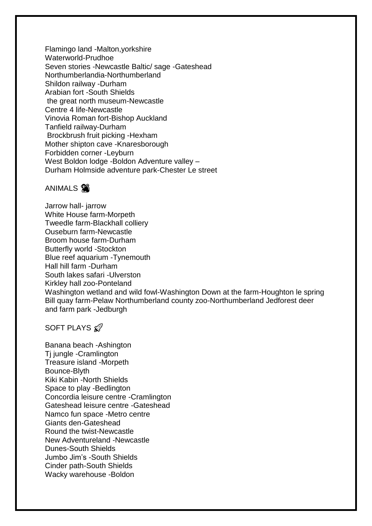Flamingo land -Malton,yorkshire Waterworld-Prudhoe Seven stories -Newcastle Baltic/ sage -Gateshead Northumberlandia-Northumberland Shildon railway -Durham Arabian fort -South Shields the great north museum-Newcastle Centre 4 life-Newcastle Vinovia Roman fort-Bishop Auckland Tanfield railway-Durham Brockbrush fruit picking -Hexham Mother shipton cave -Knaresborough Forbidden corner -Leyburn West Boldon lodge -Boldon Adventure valley – Durham Holmside adventure park-Chester Le street

### ANIMALS<sup>98</sup>

Jarrow hall- jarrow White House farm-Morpeth Tweedle farm-Blackhall colliery Ouseburn farm-Newcastle Broom house farm-Durham Butterfly world -Stockton Blue reef aquarium -Tynemouth Hall hill farm -Durham South lakes safari -Ulverston Kirkley hall zoo-Ponteland Washington wetland and wild fowl-Washington Down at the farm-Houghton le spring Bill quay farm-Pelaw Northumberland county zoo-Northumberland Jedforest deer and farm park -Jedburgh

### SOFT PLAYS &

Banana beach -Ashington Tj jungle -Cramlington Treasure island -Morpeth Bounce-Blyth Kiki Kabin -North Shields Space to play -Bedlington Concordia leisure centre -Cramlington Gateshead leisure centre -Gateshead Namco fun space -Metro centre Giants den-Gateshead Round the twist-Newcastle New Adventureland -Newcastle Dunes-South Shields Jumbo Jim's -South Shields Cinder path-South Shields Wacky warehouse -Boldon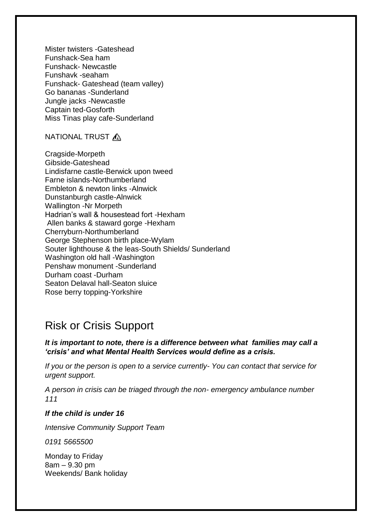Mister twisters -Gateshead Funshack-Sea ham Funshack- Newcastle Funshavk -seaham Funshack- Gateshead (team valley) Go bananas -Sunderland Jungle jacks -Newcastle Captain ted-Gosforth Miss Tinas play cafe-Sunderland

### NATIONAL TRUST  $\bigwedge$

Cragside-Morpeth Gibside-Gateshead Lindisfarne castle-Berwick upon tweed Farne islands-Northumberland Embleton & newton links -Alnwick Dunstanburgh castle-Alnwick Wallington -Nr Morpeth Hadrian's wall & housestead fort -Hexham Allen banks & staward gorge -Hexham Cherryburn-Northumberland George Stephenson birth place-Wylam Souter lighthouse & the leas-South Shields/ Sunderland Washington old hall -Washington Penshaw monument -Sunderland Durham coast -Durham Seaton Delaval hall-Seaton sluice Rose berry topping-Yorkshire

## Risk or Crisis Support

### *It is important to note, there is a difference between what families may call a 'crisis' and what Mental Health Services would define as a crisis.*

*If you or the person is open to a service currently- You can contact that service for urgent support.* 

*A person in crisis can be triaged through the non- emergency ambulance number 111*

#### *If the child is under 16*

*Intensive Community Support Team* 

*0191 5665500* 

Monday to Friday 8am – 9.30 pm Weekends/ Bank holiday